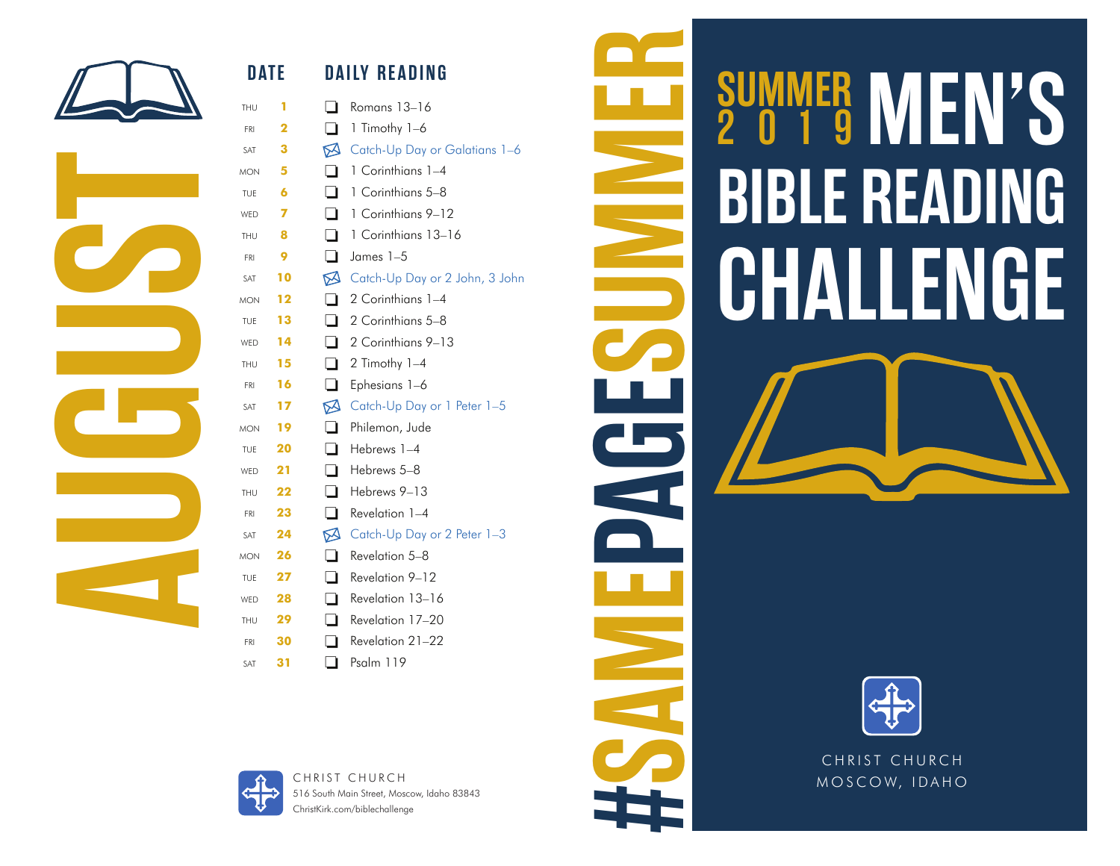

**AUGUST** 

## **DATE DAILY READING** thu **1** Romans 13–16 fri **2** 1 Timothy 1–6 sat **3** M Catch-Up Day or Galatians 1–6 mon **5** 1 Corinthians 1–4 TUE **6** 1 Corinthians 5–8 WED 7 **1** 1 Corinthians 9–12 thu **8** 1 Corinthians 13–16 fri **9** James 1–5 sat **10** Catch-Up Day or 2 John, 3 John mon **12** 2 Corinthians 1–4 TUE **13 12** Corinthians 5–8 w<sub>ED</sub> **14 1 2** Corinthians 9–13 THU  $15 \qquad \qquad 2$  Timothy 1-4 FRI **16 E** Ephesians 1–6 sat **17** M Catch-Up Day or 1 Peter 1-5 mon **19** Philemon, Jude TUE **20 □** Hebrews 1–4 wed **21** Hebrews 5–8 thu **22** Hebrews 9–13 FRI 23 **Revelation 1–4** sat **24** M Catch-Up Day or 2 Peter 1-3 mon **26** Revelation 5–8 TUE **27 Revelation 9–12** wed **28** Revelation 13–16 thu **29** Revelation 17–20 fri **30** Revelation 21–22 sat **31** Psalm 119





516 South Main Street, Moscow, Idaho 83843 ChristKirk.com/biblechallenge